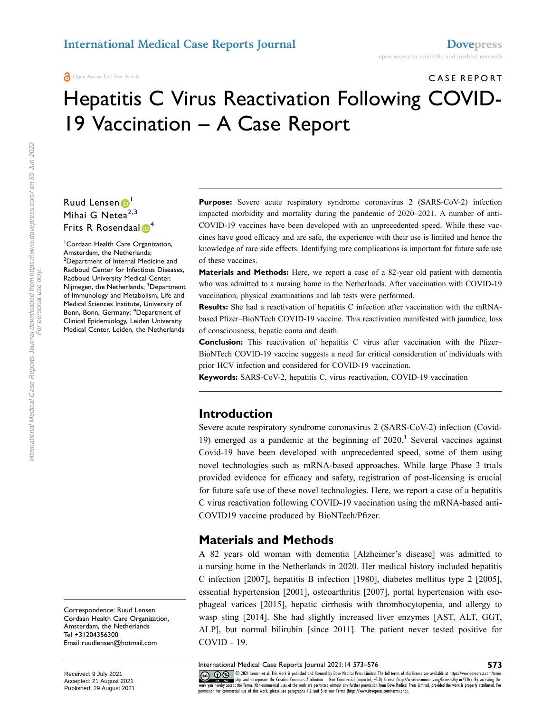# CASE REPORT Hepatitis C Virus Reactivation Following COVID-19 Vaccination – A Case Report

### Ruud Lensen Mihai G Nete $a^{2,3}$  $a^{2,3}$  $a^{2,3}$  $a^{2,3}$ Frits R Rosendaal<sup><sup>[4](#page-0-3)</sup></sup>

<span id="page-0-3"></span><span id="page-0-2"></span><span id="page-0-1"></span><span id="page-0-0"></span>1 Cordaan Health Care Organization, Amsterdam, the Netherlands; <sup>2</sup>Department of Internal Medicine and Radboud Center for Infectious Diseases, Radboud University Medical Center, Nijmegen, the Netherlands; <sup>3</sup>Department of Immunology and Metabolism, Life and Medical Sciences Institute, University of Bonn, Bonn, Germany; <sup>4</sup>Department of Clinical Epidemiology, Leiden University Medical Center, Leiden, the Netherlands

**Purpose:** Severe acute respiratory syndrome coronavirus 2 (SARS-CoV-2) infection impacted morbidity and mortality during the pandemic of 2020–2021. A number of anti-COVID-19 vaccines have been developed with an unprecedented speed. While these vaccines have good efficacy and are safe, the experience with their use is limited and hence the knowledge of rare side effects. Identifying rare complications is important for future safe use of these vaccines.

**Materials and Methods:** Here, we report a case of a 82-year old patient with dementia who was admitted to a nursing home in the Netherlands. After vaccination with COVID-19 vaccination, physical examinations and lab tests were performed.

**Results:** She had a reactivation of hepatitis C infection after vaccination with the mRNAbased Pfizer–BioNTech COVID-19 vaccine. This reactivation manifested with jaundice, loss of consciousness, hepatic coma and death.

**Conclusion:** This reactivation of hepatitis C virus after vaccination with the Pfizer– BioNTech COVID-19 vaccine suggests a need for critical consideration of individuals with prior HCV infection and considered for COVID-19 vaccination.

**Keywords:** SARS-CoV-2, hepatitis C, virus reactivation, COVID-19 vaccination

### **Introduction**

<span id="page-0-4"></span>Severe acute respiratory syndrome coronavirus 2 (SARS-CoV-2) infection (Covid-19) emerged as a pandemic at the beginning of  $2020<sup>1</sup>$ . Several vaccines against Covid-19 have been developed with unprecedented speed, some of them using novel technologies such as mRNA-based approaches. While large Phase 3 trials provided evidence for efficacy and safety, registration of post-licensing is crucial for future safe use of these novel technologies. Here, we report a case of a hepatitis C virus reactivation following COVID-19 vaccination using the mRNA-based anti-COVID19 vaccine produced by BioNTech/Pfizer.

### **Materials and Methods**

A 82 years old woman with dementia [Alzheimer's disease] was admitted to a nursing home in the Netherlands in 2020. Her medical history included hepatitis C infection [2007], hepatitis B infection [1980], diabetes mellitus type 2 [2005], essential hypertension [2001], osteoarthritis [2007], portal hypertension with esophageal varices [2015], hepatic cirrhosis with thrombocytopenia, and allergy to wasp sting [2014]. She had slightly increased liver enzymes [AST, ALT, GGT, ALP], but normal bilirubin [since 2011]. The patient never tested positive for COVID - 19.

International Medical Case Reports Journal 2021:14 573–576 **573**

International Medical Case Reports Journal downloaded from https://www.dovepress.com/ on 30-Jun-2022<br>For personal use only. International Medical Case Reports Journal downloaded from https://www.dovepress.com/ on 30-Jun-2022 For personal use only.

> Correspondence: Ruud Lensen Cordaan Health Care Organization, Amsterdam, the Netherlands Tel +31204356300 Email [ruudlensen@hotmail.com](mailto:ruudlensen@hotmail.com)

CO OD SUI Lensen et al. This work is published and licensed by Dove Medical Press Limited. The full terms of this license are available at https://www.dovepress.com/terms.<br>work you hereby accept the Terms. Non-commercial u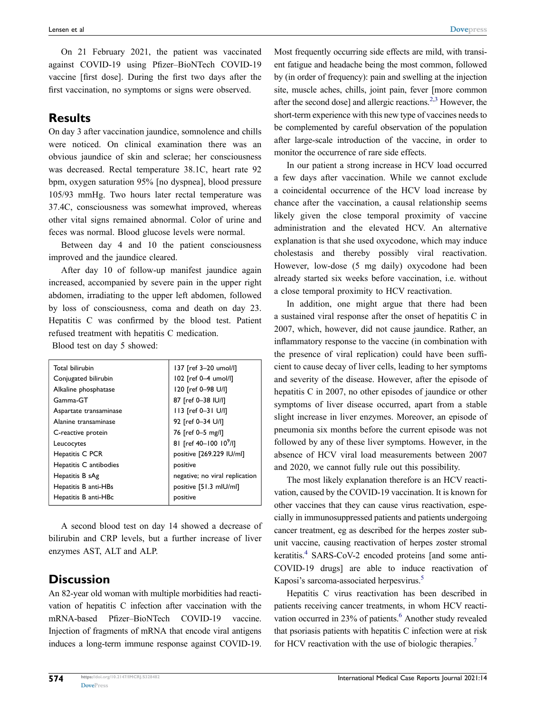On 21 February 2021, the patient was vaccinated against COVID-19 using Pfizer–BioNTech COVID-19 vaccine [first dose]. During the first two days after the first vaccination, no symptoms or signs were observed.

#### **Results**

On day 3 after vaccination jaundice, somnolence and chills were noticed. On clinical examination there was an obvious jaundice of skin and sclerae; her consciousness was decreased. Rectal temperature 38.1C, heart rate 92 bpm, oxygen saturation 95% [no dyspnea], blood pressure 105/93 mmHg. Two hours later rectal temperature was 37.4C, consciousness was somewhat improved, whereas other vital signs remained abnormal. Color of urine and feces was normal. Blood glucose levels were normal.

Between day 4 and 10 the patient consciousness improved and the jaundice cleared.

After day 10 of follow-up manifest jaundice again increased, accompanied by severe pain in the upper right abdomen, irradiating to the upper left abdomen, followed by loss of consciousness, coma and death on day 23. Hepatitis C was confirmed by the blood test. Patient refused treatment with hepatitis C medication.

Blood test on day 5 showed:

| Total bilirubin        | 137 [ref 3-20 umol/l]              |
|------------------------|------------------------------------|
| Conjugated bilirubin   | 102 [ref 0-4 umol/l]               |
| Alkaline phosphatase   | 120 [ref 0-98 U/I]                 |
| Gamma-GT               | 87 [ref 0-38 IU/I]                 |
| Aspartate transaminase | 113 [ref 0-31 U/I]                 |
| Alanine transaminase   | 92 [ref 0-34 U/I]                  |
| C-reactive protein     | 76 [ref 0-5 mg/l]                  |
| Leucocytes             | 81 [ref 40-100 10 <sup>9</sup> /I] |
| Hepatitis C PCR        | positive [269.229 IU/ml]           |
| Hepatitis C antibodies | positive                           |
| Hepatitis B sAg        | negative; no viral replication     |
| Hepatitis B anti-HBs   | positive [51.3 mlU/ml]             |
| Hepatitis B anti-HBc   | positive                           |

A second blood test on day 14 showed a decrease of bilirubin and CRP levels, but a further increase of liver enzymes AST, ALT and ALP.

### **Discussion**

An 82-year old woman with multiple morbidities had reactivation of hepatitis C infection after vaccination with the mRNA-based Pfizer–BioNTech COVID-19 vaccine. Injection of fragments of mRNA that encode viral antigens induces a long-term immune response against COVID-19. <span id="page-1-0"></span>Most frequently occurring side effects are mild, with transient fatigue and headache being the most common, followed by (in order of frequency): pain and swelling at the injection site, muscle aches, chills, joint pain, fever [more common after the second dose] and allergic reactions.<sup>[2](#page-2-1),3</sup> However, the short-term experience with this new type of vaccines needs to be complemented by careful observation of the population after large-scale introduction of the vaccine, in order to monitor the occurrence of rare side effects.

In our patient a strong increase in HCV load occurred a few days after vaccination. While we cannot exclude a coincidental occurrence of the HCV load increase by chance after the vaccination, a causal relationship seems likely given the close temporal proximity of vaccine administration and the elevated HCV. An alternative explanation is that she used oxycodone, which may induce cholestasis and thereby possibly viral reactivation. However, low-dose (5 mg daily) oxycodone had been already started six weeks before vaccination, i.e. without a close temporal proximity to HCV reactivation.

In addition, one might argue that there had been a sustained viral response after the onset of hepatitis C in 2007, which, however, did not cause jaundice. Rather, an inflammatory response to the vaccine (in combination with the presence of viral replication) could have been sufficient to cause decay of liver cells, leading to her symptoms and severity of the disease. However, after the episode of hepatitis C in 2007, no other episodes of jaundice or other symptoms of liver disease occurred, apart from a stable slight increase in liver enzymes. Moreover, an episode of pneumonia six months before the current episode was not followed by any of these liver symptoms. However, in the absence of HCV viral load measurements between 2007 and 2020, we cannot fully rule out this possibility.

The most likely explanation therefore is an HCV reactivation, caused by the COVID-19 vaccination. It is known for other vaccines that they can cause virus reactivation, especially in immunosuppressed patients and patients undergoing cancer treatment, eg as described for the herpes zoster subunit vaccine, causing reactivation of herpes zoster stromal keratitis.<sup>4</sup> SARS-CoV-2 encoded proteins [and some anti-COVID-19 drugs] are able to induce reactivation of Kaposi's sarcoma-associated herpesvirus.<sup>[5](#page-2-4)</sup>

<span id="page-1-4"></span><span id="page-1-3"></span><span id="page-1-2"></span><span id="page-1-1"></span>Hepatitis C virus reactivation has been described in patients receiving cancer treatments, in whom HCV reactivation occurred in 23% of patients.<sup>6</sup> Another study revealed that psoriasis patients with hepatitis C infection were at risk for HCV reactivation with the use of biologic therapies.<sup>7</sup>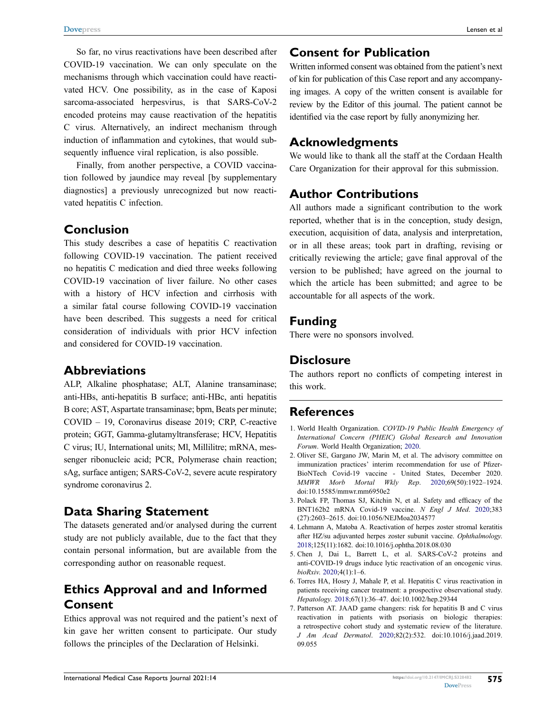So far, no virus reactivations have been described after COVID-19 vaccination. We can only speculate on the mechanisms through which vaccination could have reactivated HCV. One possibility, as in the case of Kaposi sarcoma-associated herpesvirus, is that SARS-CoV-2 encoded proteins may cause reactivation of the hepatitis C virus. Alternatively, an indirect mechanism through induction of inflammation and cytokines, that would subsequently influence viral replication, is also possible.

Finally, from another perspective, a COVID vaccination followed by jaundice may reveal [by supplementary diagnostics] a previously unrecognized but now reactivated hepatitis C infection.

### **Conclusion**

This study describes a case of hepatitis C reactivation following COVID-19 vaccination. The patient received no hepatitis C medication and died three weeks following COVID-19 vaccination of liver failure. No other cases with a history of HCV infection and cirrhosis with a similar fatal course following COVID-19 vaccination have been described. This suggests a need for critical consideration of individuals with prior HCV infection and considered for COVID-19 vaccination.

#### **Abbreviations**

ALP, Alkaline phosphatase; ALT, Alanine transaminase; anti-HBs, anti-hepatitis B surface; anti-HBc, anti hepatitis B core; AST, Aspartate transaminase; bpm, Beats per minute; COVID – 19, Coronavirus disease 2019; CRP, C-reactive protein; GGT, Gamma-glutamyltransferase; HCV, Hepatitis C virus; IU, International units; Ml, Millilitre; mRNA, messenger ribonucleic acid; PCR, Polymerase chain reaction; sAg, surface antigen; SARS-CoV-2, severe acute respiratory syndrome coronavirus 2.

### **Data Sharing Statement**

The datasets generated and/or analysed during the current study are not publicly available, due to the fact that they contain personal information, but are available from the corresponding author on reasonable request.

## **Ethics Approval and and Informed Consent**

Ethics approval was not required and the patient's next of kin gave her written consent to participate. Our study follows the principles of the Declaration of Helsinki.

### **Consent for Publication**

Written informed consent was obtained from the patient's next of kin for publication of this Case report and any accompanying images. A copy of the written consent is available for review by the Editor of this journal. The patient cannot be identified via the case report by fully anonymizing her.

### **Acknowledgments**

We would like to thank all the staff at the Cordaan Health Care Organization for their approval for this submission.

### **Author Contributions**

All authors made a significant contribution to the work reported, whether that is in the conception, study design, execution, acquisition of data, analysis and interpretation, or in all these areas; took part in drafting, revising or critically reviewing the article; gave final approval of the version to be published; have agreed on the journal to which the article has been submitted; and agree to be accountable for all aspects of the work.

### **Funding**

There were no sponsors involved.

### **Disclosure**

The authors report no conflicts of competing interest in this work.

### **References**

- <span id="page-2-0"></span>1. World Health Organization. *COVID-19 Public Health Emergency of International Concern (PHEIC) Global Research and Innovation Forum*. World Health Organization; [2020.](#page-0-4)
- <span id="page-2-1"></span>2. Oliver SE, Gargano JW, Marin M, et al. The advisory committee on immunization practices' interim recommendation for use of Pfizer-BioNTech Covid-19 vaccine - United States, December 2020. *MMWR Morb Mortal Wkly Rep*. [2020;](#page-1-0)69(50):1922–1924. doi:[10.15585/mmwr.mm6950e2](https://doi.org/10.15585/mmwr.mm6950e2)
- <span id="page-2-2"></span>3. Polack FP, Thomas SJ, Kitchin N, et al. Safety and efficacy of the BNT162b2 mRNA Covid-19 vaccine. *N Engl J Med*. [2020](#page-1-0);383 (27):2603–2615. doi:[10.1056/NEJMoa2034577](https://doi.org/10.1056/NEJMoa2034577)
- <span id="page-2-3"></span>4. Lehmann A, Matoba A. Reactivation of herpes zoster stromal keratitis after HZ/su adjuvanted herpes zoster subunit vaccine. *Ophthalmology*. [2018](#page-1-1);125(11):1682. doi:[10.1016/j.ophtha.2018.08.030](https://doi.org/10.1016/j.ophtha.2018.08.030)
- <span id="page-2-4"></span>5. Chen J, Dai L, Barrett L, et al. SARS-CoV-2 proteins and anti-COVID-19 drugs induce lytic reactivation of an oncogenic virus. *bioRxiv*. [2020;](#page-1-2)4(1):1–6.
- <span id="page-2-5"></span>6. Torres HA, Hosry J, Mahale P, et al. Hepatitis C virus reactivation in patients receiving cancer treatment: a prospective observational study. *Hepatology*. [2018;](#page-1-3)67(1):36–47. doi:[10.1002/hep.29344](https://doi.org/10.1002/hep.29344)
- <span id="page-2-6"></span>7. Patterson AT. JAAD game changers: risk for hepatitis B and C virus reactivation in patients with psoriasis on biologic therapies: a retrospective cohort study and systematic review of the literature. *J Am Acad Dermatol*. [2020](#page-1-4);82(2):532. doi:[10.1016/j.jaad.2019.](https://doi.org/10.1016/j.jaad.2019.09.055) [09.055](https://doi.org/10.1016/j.jaad.2019.09.055)